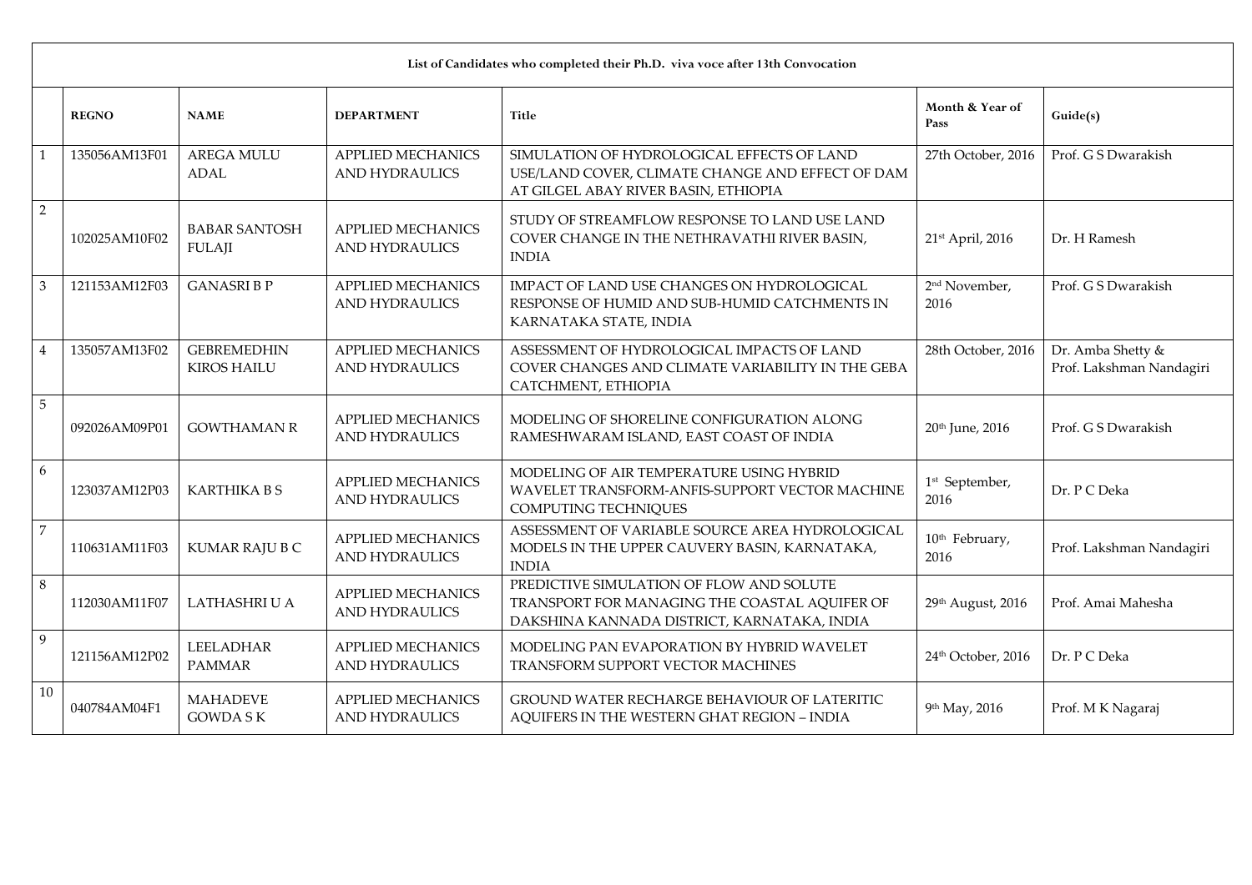|                | List of Candidates who completed their Ph.D. viva voce after 13th Convocation |                                          |                                                   |                                                                                                                                          |                                    |                                               |  |  |
|----------------|-------------------------------------------------------------------------------|------------------------------------------|---------------------------------------------------|------------------------------------------------------------------------------------------------------------------------------------------|------------------------------------|-----------------------------------------------|--|--|
|                | <b>REGNO</b>                                                                  | <b>NAME</b>                              | <b>DEPARTMENT</b>                                 | <b>Title</b>                                                                                                                             | Month & Year of<br>Pass            | Guide(s)                                      |  |  |
| $\mathbf{1}$   | 135056AM13F01                                                                 | <b>AREGA MULU</b><br><b>ADAL</b>         | <b>APPLIED MECHANICS</b><br><b>AND HYDRAULICS</b> | SIMULATION OF HYDROLOGICAL EFFECTS OF LAND<br>USE/LAND COVER, CLIMATE CHANGE AND EFFECT OF DAM<br>AT GILGEL ABAY RIVER BASIN, ETHIOPIA   | 27th October, 2016                 | Prof. G S Dwarakish                           |  |  |
| $\overline{2}$ | 102025AM10F02                                                                 | <b>BABAR SANTOSH</b><br><b>FULAJI</b>    | <b>APPLIED MECHANICS</b><br><b>AND HYDRAULICS</b> | STUDY OF STREAMFLOW RESPONSE TO LAND USE LAND<br>COVER CHANGE IN THE NETHRAVATHI RIVER BASIN,<br><b>INDIA</b>                            | 21st April, 2016                   | Dr. H Ramesh                                  |  |  |
| 3              | 121153AM12F03                                                                 | <b>GANASRIBP</b>                         | <b>APPLIED MECHANICS</b><br><b>AND HYDRAULICS</b> | IMPACT OF LAND USE CHANGES ON HYDROLOGICAL<br>RESPONSE OF HUMID AND SUB-HUMID CATCHMENTS IN<br>KARNATAKA STATE, INDIA                    | 2 <sup>nd</sup> November,<br>2016  | Prof. G S Dwarakish                           |  |  |
| $\overline{4}$ | 135057AM13F02                                                                 | <b>GEBREMEDHIN</b><br><b>KIROS HAILU</b> | <b>APPLIED MECHANICS</b><br><b>AND HYDRAULICS</b> | ASSESSMENT OF HYDROLOGICAL IMPACTS OF LAND<br>COVER CHANGES AND CLIMATE VARIABILITY IN THE GEBA<br>CATCHMENT, ETHIOPIA                   | 28th October, 2016                 | Dr. Amba Shetty &<br>Prof. Lakshman Nandagiri |  |  |
| $\overline{5}$ | 092026AM09P01                                                                 | <b>GOWTHAMAN R</b>                       | <b>APPLIED MECHANICS</b><br><b>AND HYDRAULICS</b> | MODELING OF SHORELINE CONFIGURATION ALONG<br>RAMESHWARAM ISLAND, EAST COAST OF INDIA                                                     | 20 <sup>th</sup> June, 2016        | Prof. G S Dwarakish                           |  |  |
| 6              | 123037AM12P03                                                                 | <b>KARTHIKA B S</b>                      | <b>APPLIED MECHANICS</b><br><b>AND HYDRAULICS</b> | MODELING OF AIR TEMPERATURE USING HYBRID<br>WAVELET TRANSFORM-ANFIS-SUPPORT VECTOR MACHINE<br>COMPUTING TECHNIQUES                       | 1 <sup>st</sup> September,<br>2016 | Dr. P C Deka                                  |  |  |
| $\overline{7}$ | 110631AM11F03                                                                 | KUMAR RAJU B C                           | <b>APPLIED MECHANICS</b><br><b>AND HYDRAULICS</b> | ASSESSMENT OF VARIABLE SOURCE AREA HYDROLOGICAL<br>MODELS IN THE UPPER CAUVERY BASIN, KARNATAKA,<br><b>INDIA</b>                         | 10 <sup>th</sup> February,<br>2016 | Prof. Lakshman Nandagiri                      |  |  |
| 8              | 112030AM11F07                                                                 | <b>LATHASHRI U A</b>                     | <b>APPLIED MECHANICS</b><br><b>AND HYDRAULICS</b> | PREDICTIVE SIMULATION OF FLOW AND SOLUTE<br>TRANSPORT FOR MANAGING THE COASTAL AQUIFER OF<br>DAKSHINA KANNADA DISTRICT, KARNATAKA, INDIA | 29th August, 2016                  | Prof. Amai Mahesha                            |  |  |
| 9              | 121156AM12P02                                                                 | <b>LEELADHAR</b><br><b>PAMMAR</b>        | <b>APPLIED MECHANICS</b><br><b>AND HYDRAULICS</b> | MODELING PAN EVAPORATION BY HYBRID WAVELET<br>TRANSFORM SUPPORT VECTOR MACHINES                                                          | 24th October, 2016                 | Dr. P C Deka                                  |  |  |
| 10             | 040784AM04F1                                                                  | <b>MAHADEVE</b><br><b>GOWDASK</b>        | <b>APPLIED MECHANICS</b><br><b>AND HYDRAULICS</b> | GROUND WATER RECHARGE BEHAVIOUR OF LATERITIC<br>AQUIFERS IN THE WESTERN GHAT REGION - INDIA                                              | 9th May, 2016                      | Prof. M K Nagaraj                             |  |  |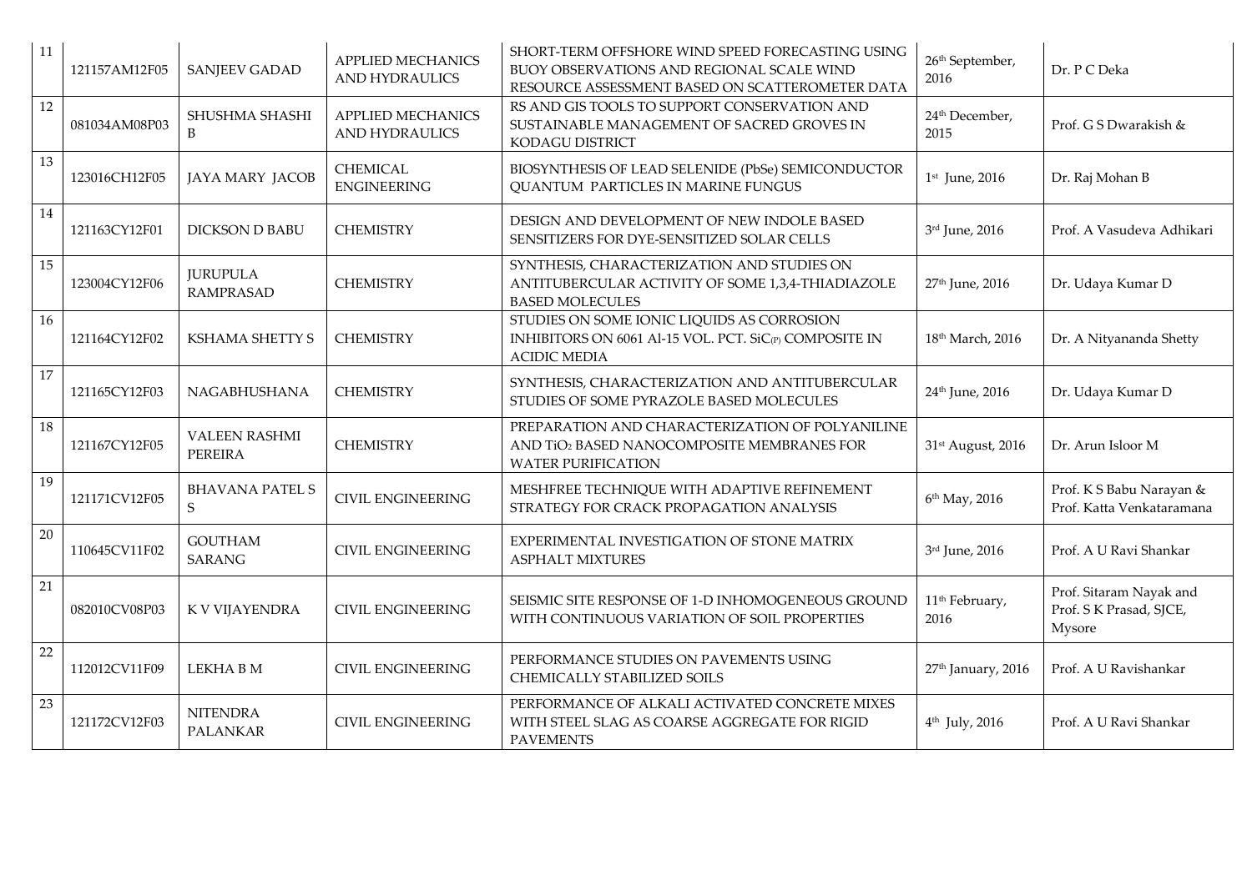| 11     | 121157AM12F05 | <b>SANJEEV GADAD</b>                | <b>APPLIED MECHANICS</b><br><b>AND HYDRAULICS</b> | SHORT-TERM OFFSHORE WIND SPEED FORECASTING USING<br>BUOY OBSERVATIONS AND REGIONAL SCALE WIND<br>RESOURCE ASSESSMENT BASED ON SCATTEROMETER DATA | 26 <sup>th</sup> September,<br>2016 | Dr. P C Deka                                                 |
|--------|---------------|-------------------------------------|---------------------------------------------------|--------------------------------------------------------------------------------------------------------------------------------------------------|-------------------------------------|--------------------------------------------------------------|
| $12\,$ | 081034AM08P03 | SHUSHMA SHASHI<br>B                 | <b>APPLIED MECHANICS</b><br><b>AND HYDRAULICS</b> | RS AND GIS TOOLS TO SUPPORT CONSERVATION AND<br>SUSTAINABLE MANAGEMENT OF SACRED GROVES IN<br>KODAGU DISTRICT                                    | 24 <sup>th</sup> December,<br>2015  | Prof. G S Dwarakish &                                        |
| 13     | 123016CH12F05 | <b>JAYA MARY JACOB</b>              | CHEMICAL<br><b>ENGINEERING</b>                    | BIOSYNTHESIS OF LEAD SELENIDE (PbSe) SEMICONDUCTOR<br><b>QUANTUM PARTICLES IN MARINE FUNGUS</b>                                                  | $1st$ June, 2016                    | Dr. Raj Mohan B                                              |
| 14     | 121163CY12F01 | <b>DICKSON D BABU</b>               | <b>CHEMISTRY</b>                                  | DESIGN AND DEVELOPMENT OF NEW INDOLE BASED<br>SENSITIZERS FOR DYE-SENSITIZED SOLAR CELLS                                                         | 3rd June, 2016                      | Prof. A Vasudeva Adhikari                                    |
| 15     | 123004CY12F06 | <b>JURUPULA</b><br><b>RAMPRASAD</b> | <b>CHEMISTRY</b>                                  | SYNTHESIS, CHARACTERIZATION AND STUDIES ON<br>ANTITUBERCULAR ACTIVITY OF SOME 1,3,4-THIADIAZOLE<br><b>BASED MOLECULES</b>                        | 27 <sup>th</sup> June, 2016         | Dr. Udaya Kumar D                                            |
| 16     | 121164CY12F02 | KSHAMA SHETTY S                     | <b>CHEMISTRY</b>                                  | STUDIES ON SOME IONIC LIQUIDS AS CORROSION<br>INHIBITORS ON 6061 Al-15 VOL. PCT. SiC(P) COMPOSITE IN<br><b>ACIDIC MEDIA</b>                      | 18 <sup>th</sup> March, 2016        | Dr. A Nityananda Shetty                                      |
| 17     | 121165CY12F03 | NAGABHUSHANA                        | <b>CHEMISTRY</b>                                  | SYNTHESIS, CHARACTERIZATION AND ANTITUBERCULAR<br>STUDIES OF SOME PYRAZOLE BASED MOLECULES                                                       | 24 <sup>th</sup> June, 2016         | Dr. Udaya Kumar D                                            |
| 18     | 121167CY12F05 | <b>VALEEN RASHMI</b><br>PEREIRA     | <b>CHEMISTRY</b>                                  | PREPARATION AND CHARACTERIZATION OF POLYANILINE<br>AND TiO2 BASED NANOCOMPOSITE MEMBRANES FOR<br><b>WATER PURIFICATION</b>                       | 31st August, 2016                   | Dr. Arun Isloor M                                            |
| 19     | 121171CV12F05 | <b>BHAVANA PATEL S</b><br>S         | <b>CIVIL ENGINEERING</b>                          | MESHFREE TECHNIQUE WITH ADAPTIVE REFINEMENT<br>STRATEGY FOR CRACK PROPAGATION ANALYSIS                                                           | 6th May, 2016                       | Prof. K S Babu Narayan &<br>Prof. Katta Venkataramana        |
| 20     | 110645CV11F02 | <b>GOUTHAM</b><br>SARANG            | <b>CIVIL ENGINEERING</b>                          | EXPERIMENTAL INVESTIGATION OF STONE MATRIX<br><b>ASPHALT MIXTURES</b>                                                                            | 3rd June, 2016                      | Prof. A U Ravi Shankar                                       |
| 21     | 082010CV08P03 | K V VIJAYENDRA                      | <b>CIVIL ENGINEERING</b>                          | SEISMIC SITE RESPONSE OF 1-D INHOMOGENEOUS GROUND<br>WITH CONTINUOUS VARIATION OF SOIL PROPERTIES                                                | 11 <sup>th</sup> February,<br>2016  | Prof. Sitaram Nayak and<br>Prof. S K Prasad, SJCE,<br>Mysore |
| 22     | 112012CV11F09 | LEKHA B M                           | <b>CIVIL ENGINEERING</b>                          | PERFORMANCE STUDIES ON PAVEMENTS USING<br>CHEMICALLY STABILIZED SOILS                                                                            | 27 <sup>th</sup> January, 2016      | Prof. A U Ravishankar                                        |
| 23     | 121172CV12F03 | <b>NITENDRA</b><br><b>PALANKAR</b>  | <b>CIVIL ENGINEERING</b>                          | PERFORMANCE OF ALKALI ACTIVATED CONCRETE MIXES<br>WITH STEEL SLAG AS COARSE AGGREGATE FOR RIGID<br><b>PAVEMENTS</b>                              | 4 <sup>th</sup> July, 2016          | Prof. A U Ravi Shankar                                       |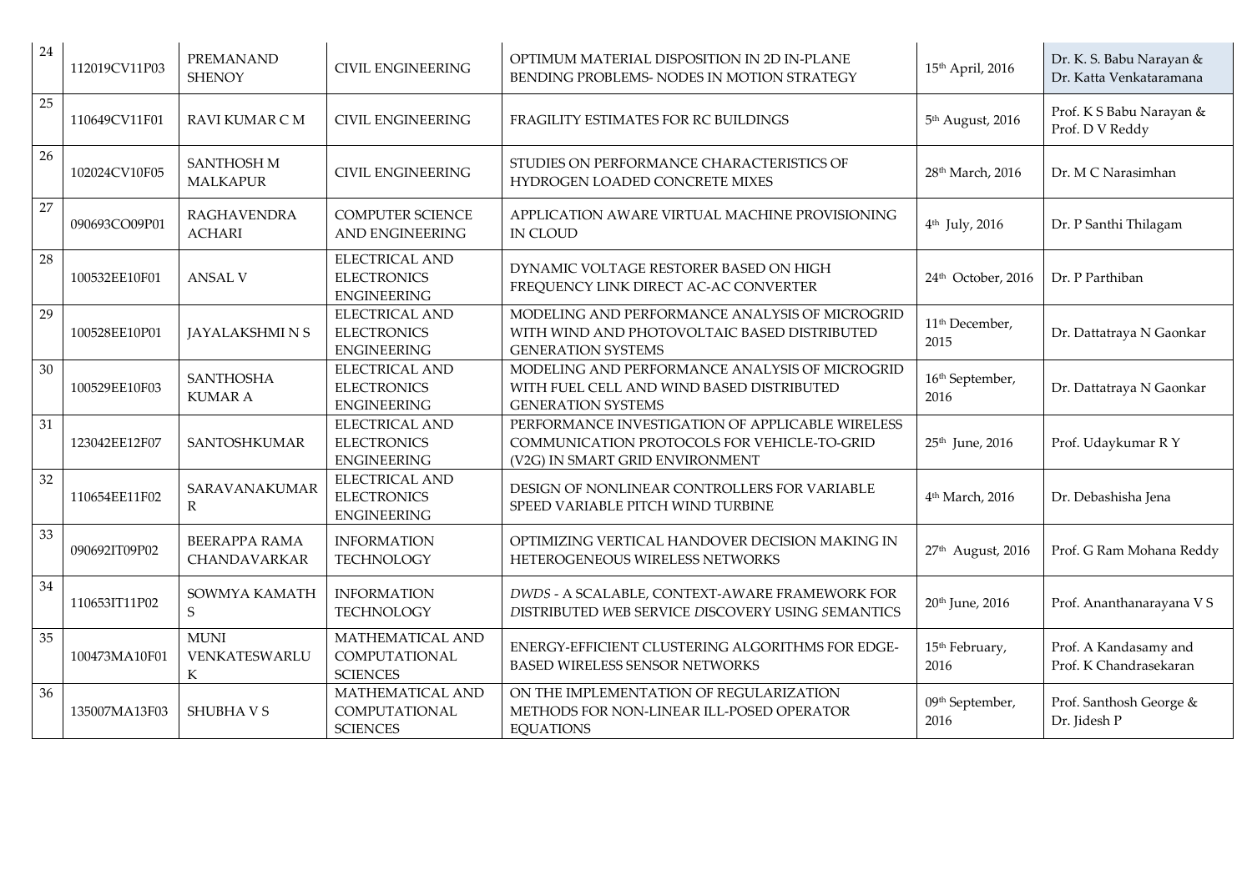| 24 | 112019CV11P03 | <b>PREMANAND</b><br><b>SHENOY</b>    | <b>CIVIL ENGINEERING</b>                                          | OPTIMUM MATERIAL DISPOSITION IN 2D IN-PLANE<br>BENDING PROBLEMS- NODES IN MOTION STRATEGY                                          | 15th April, 2016                    | Dr. K. S. Babu Narayan &<br>Dr. Katta Venkataramana |
|----|---------------|--------------------------------------|-------------------------------------------------------------------|------------------------------------------------------------------------------------------------------------------------------------|-------------------------------------|-----------------------------------------------------|
| 25 | 110649CV11F01 | RAVI KUMAR C M                       | <b>CIVIL ENGINEERING</b>                                          | FRAGILITY ESTIMATES FOR RC BUILDINGS                                                                                               | 5 <sup>th</sup> August, 2016        | Prof. K S Babu Narayan &<br>Prof. D V Reddy         |
| 26 | 102024CV10F05 | SANTHOSH M<br><b>MALKAPUR</b>        | <b>CIVIL ENGINEERING</b>                                          | STUDIES ON PERFORMANCE CHARACTERISTICS OF<br>HYDROGEN LOADED CONCRETE MIXES                                                        | 28 <sup>th</sup> March, 2016        | Dr. M C Narasimhan                                  |
| 27 | 090693CO09P01 | <b>RAGHAVENDRA</b><br><b>ACHARI</b>  | <b>COMPUTER SCIENCE</b><br>AND ENGINEERING                        | APPLICATION AWARE VIRTUAL MACHINE PROVISIONING<br><b>IN CLOUD</b>                                                                  | $4th$ July, 2016                    | Dr. P Santhi Thilagam                               |
| 28 | 100532EE10F01 | <b>ANSAL V</b>                       | <b>ELECTRICAL AND</b><br><b>ELECTRONICS</b><br><b>ENGINEERING</b> | DYNAMIC VOLTAGE RESTORER BASED ON HIGH<br>FREQUENCY LINK DIRECT AC-AC CONVERTER                                                    | 24th October, 2016                  | Dr. P Parthiban                                     |
| 29 | 100528EE10P01 | <b>JAYALAKSHMINS</b>                 | <b>ELECTRICAL AND</b><br><b>ELECTRONICS</b><br><b>ENGINEERING</b> | MODELING AND PERFORMANCE ANALYSIS OF MICROGRID<br>WITH WIND AND PHOTOVOLTAIC BASED DISTRIBUTED<br><b>GENERATION SYSTEMS</b>        | 11 <sup>th</sup> December,<br>2015  | Dr. Dattatraya N Gaonkar                            |
| 30 | 100529EE10F03 | <b>SANTHOSHA</b><br><b>KUMAR A</b>   | <b>ELECTRICAL AND</b><br><b>ELECTRONICS</b><br><b>ENGINEERING</b> | MODELING AND PERFORMANCE ANALYSIS OF MICROGRID<br>WITH FUEL CELL AND WIND BASED DISTRIBUTED<br><b>GENERATION SYSTEMS</b>           | 16 <sup>th</sup> September,<br>2016 | Dr. Dattatraya N Gaonkar                            |
| 31 | 123042EE12F07 | SANTOSHKUMAR                         | <b>ELECTRICAL AND</b><br><b>ELECTRONICS</b><br><b>ENGINEERING</b> | PERFORMANCE INVESTIGATION OF APPLICABLE WIRELESS<br>COMMUNICATION PROTOCOLS FOR VEHICLE-TO-GRID<br>(V2G) IN SMART GRID ENVIRONMENT | 25 <sup>th</sup> June, 2016         | Prof. Udaykumar R Y                                 |
| 32 | 110654EE11F02 | SARAVANAKUMAR<br>R                   | <b>ELECTRICAL AND</b><br><b>ELECTRONICS</b><br><b>ENGINEERING</b> | DESIGN OF NONLINEAR CONTROLLERS FOR VARIABLE<br>SPEED VARIABLE PITCH WIND TURBINE                                                  | 4 <sup>th</sup> March, 2016         | Dr. Debashisha Jena                                 |
| 33 | 090692IT09P02 | <b>BEERAPPA RAMA</b><br>CHANDAVARKAR | <b>INFORMATION</b><br><b>TECHNOLOGY</b>                           | OPTIMIZING VERTICAL HANDOVER DECISION MAKING IN<br>HETEROGENEOUS WIRELESS NETWORKS                                                 | 27th August, 2016                   | Prof. G Ram Mohana Reddy                            |
| 34 | 110653IT11P02 | SOWMYA KAMATH<br>S                   | <b>INFORMATION</b><br>TECHNOLOGY                                  | DWDS - A SCALABLE, CONTEXT-AWARE FRAMEWORK FOR<br>DISTRIBUTED WEB SERVICE DISCOVERY USING SEMANTICS                                | 20 <sup>th</sup> June, 2016         | Prof. Ananthanarayana V S                           |
| 35 | 100473MA10F01 | <b>MUNI</b><br>VENKATESWARLU<br>K    | MATHEMATICAL AND<br>COMPUTATIONAL<br><b>SCIENCES</b>              | ENERGY-EFFICIENT CLUSTERING ALGORITHMS FOR EDGE-<br>BASED WIRELESS SENSOR NETWORKS                                                 | 15 <sup>th</sup> February,<br>2016  | Prof. A Kandasamy and<br>Prof. K Chandrasekaran     |
| 36 | 135007MA13F03 | <b>SHUBHAVS</b>                      | MATHEMATICAL AND<br><b>COMPUTATIONAL</b><br><b>SCIENCES</b>       | ON THE IMPLEMENTATION OF REGULARIZATION<br>METHODS FOR NON-LINEAR ILL-POSED OPERATOR<br><b>EQUATIONS</b>                           | 09 <sup>th</sup> September,<br>2016 | Prof. Santhosh George &<br>Dr. Jidesh P             |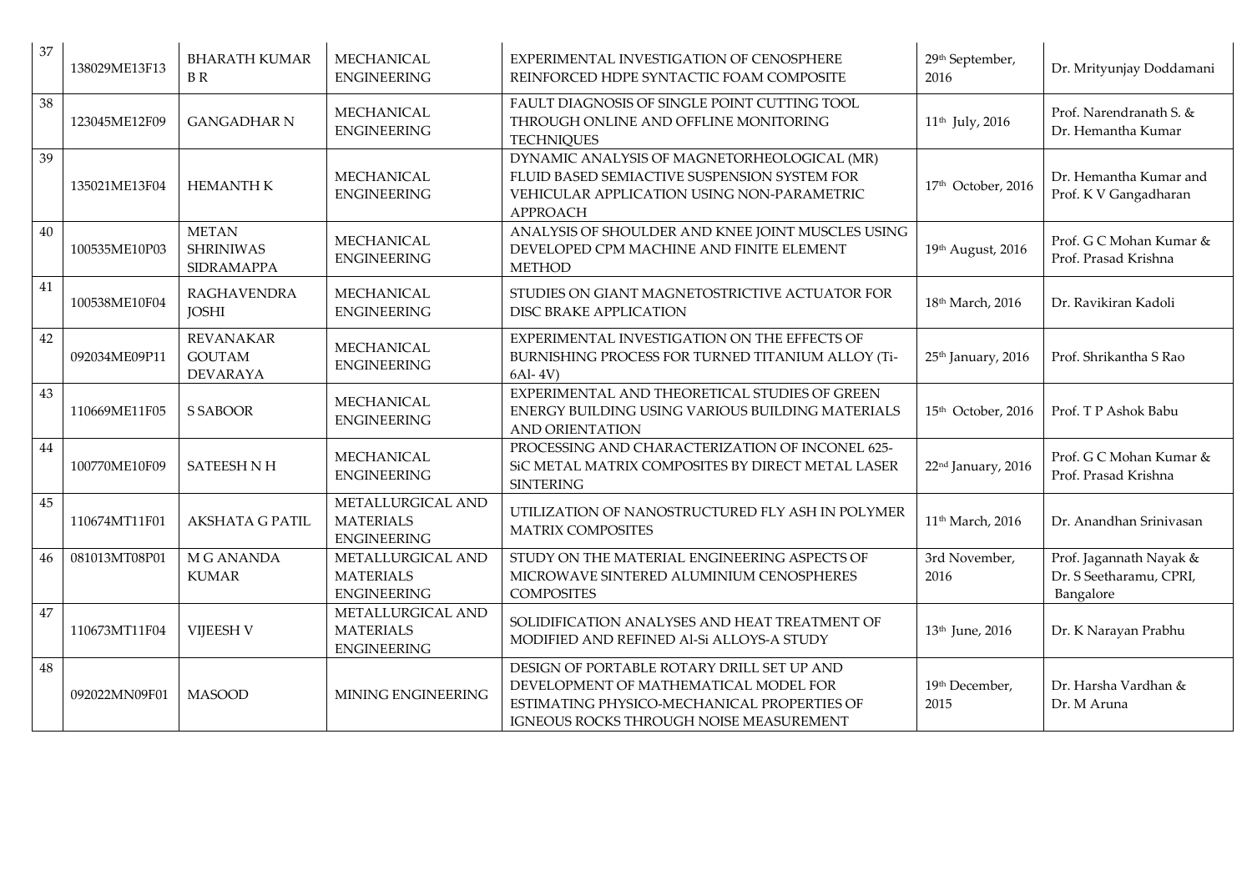| 37 | 138029ME13F13 | <b>BHARATH KUMAR</b><br><b>BR</b>                    | <b>MECHANICAL</b><br><b>ENGINEERING</b>                     | EXPERIMENTAL INVESTIGATION OF CENOSPHERE<br>REINFORCED HDPE SYNTACTIC FOAM COMPOSITE                                                                                          | 29 <sup>th</sup> September,<br>2016 | Dr. Mrityunjay Doddamani                                        |
|----|---------------|------------------------------------------------------|-------------------------------------------------------------|-------------------------------------------------------------------------------------------------------------------------------------------------------------------------------|-------------------------------------|-----------------------------------------------------------------|
| 38 | 123045ME12F09 | <b>GANGADHAR N</b>                                   | MECHANICAL<br><b>ENGINEERING</b>                            | FAULT DIAGNOSIS OF SINGLE POINT CUTTING TOOL<br>THROUGH ONLINE AND OFFLINE MONITORING<br><b>TECHNIQUES</b>                                                                    | 11 <sup>th</sup> July, 2016         | Prof. Narendranath S. &<br>Dr. Hemantha Kumar                   |
| 39 | 135021ME13F04 | <b>HEMANTH K</b>                                     | <b>MECHANICAL</b><br><b>ENGINEERING</b>                     | DYNAMIC ANALYSIS OF MAGNETORHEOLOGICAL (MR)<br>FLUID BASED SEMIACTIVE SUSPENSION SYSTEM FOR<br>VEHICULAR APPLICATION USING NON-PARAMETRIC<br><b>APPROACH</b>                  | 17th October, 2016                  | Dr. Hemantha Kumar and<br>Prof. K V Gangadharan                 |
| 40 | 100535ME10P03 | <b>METAN</b><br><b>SHRINIWAS</b><br>SIDRAMAPPA       | MECHANICAL<br><b>ENGINEERING</b>                            | ANALYSIS OF SHOULDER AND KNEE JOINT MUSCLES USING<br>DEVELOPED CPM MACHINE AND FINITE ELEMENT<br><b>METHOD</b>                                                                | 19th August, 2016                   | Prof. G C Mohan Kumar &<br>Prof. Prasad Krishna                 |
| 41 | 100538ME10F04 | RAGHAVENDRA<br><b>JOSHI</b>                          | MECHANICAL<br><b>ENGINEERING</b>                            | STUDIES ON GIANT MAGNETOSTRICTIVE ACTUATOR FOR<br><b>DISC BRAKE APPLICATION</b>                                                                                               | 18th March, 2016                    | Dr. Ravikiran Kadoli                                            |
| 42 | 092034ME09P11 | <b>REVANAKAR</b><br><b>GOUTAM</b><br><b>DEVARAYA</b> | MECHANICAL<br><b>ENGINEERING</b>                            | EXPERIMENTAL INVESTIGATION ON THE EFFECTS OF<br>BURNISHING PROCESS FOR TURNED TITANIUM ALLOY (Ti-<br>6Al-4V)                                                                  | 25 <sup>th</sup> January, 2016      | Prof. Shrikantha S Rao                                          |
| 43 | 110669ME11F05 | S SABOOR                                             | MECHANICAL<br><b>ENGINEERING</b>                            | EXPERIMENTAL AND THEORETICAL STUDIES OF GREEN<br>ENERGY BUILDING USING VARIOUS BUILDING MATERIALS<br><b>AND ORIENTATION</b>                                                   | 15 <sup>th</sup> October, 2016      | Prof. T P Ashok Babu                                            |
| 44 | 100770ME10F09 | <b>SATEESH N H</b>                                   | MECHANICAL<br><b>ENGINEERING</b>                            | PROCESSING AND CHARACTERIZATION OF INCONEL 625-<br>SiC METAL MATRIX COMPOSITES BY DIRECT METAL LASER<br><b>SINTERING</b>                                                      | 22 <sup>nd</sup> January, 2016      | Prof. G C Mohan Kumar &<br>Prof. Prasad Krishna                 |
| 45 | 110674MT11F01 | <b>AKSHATA G PATIL</b>                               | METALLURGICAL AND<br><b>MATERIALS</b><br><b>ENGINEERING</b> | UTILIZATION OF NANOSTRUCTURED FLY ASH IN POLYMER<br><b>MATRIX COMPOSITES</b>                                                                                                  | 11 <sup>th</sup> March, 2016        | Dr. Anandhan Srinivasan                                         |
| 46 | 081013MT08P01 | M G ANANDA<br><b>KUMAR</b>                           | METALLURGICAL AND<br><b>MATERIALS</b><br><b>ENGINEERING</b> | STUDY ON THE MATERIAL ENGINEERING ASPECTS OF<br>MICROWAVE SINTERED ALUMINIUM CENOSPHERES<br><b>COMPOSITES</b>                                                                 | 3rd November,<br>2016               | Prof. Jagannath Nayak &<br>Dr. S Seetharamu, CPRI,<br>Bangalore |
| 47 | 110673MT11F04 | <b>VIJEESH V</b>                                     | METALLURGICAL AND<br><b>MATERIALS</b><br><b>ENGINEERING</b> | SOLIDIFICATION ANALYSES AND HEAT TREATMENT OF<br>MODIFIED AND REFINED Al-Si ALLOYS-A STUDY                                                                                    | 13 <sup>th</sup> June, 2016         | Dr. K Narayan Prabhu                                            |
| 48 | 092022MN09F01 | <b>MASOOD</b>                                        | MINING ENGINEERING                                          | DESIGN OF PORTABLE ROTARY DRILL SET UP AND<br>DEVELOPMENT OF MATHEMATICAL MODEL FOR<br>ESTIMATING PHYSICO-MECHANICAL PROPERTIES OF<br>IGNEOUS ROCKS THROUGH NOISE MEASUREMENT | 19th December,<br>2015              | Dr. Harsha Vardhan &<br>Dr. M Aruna                             |